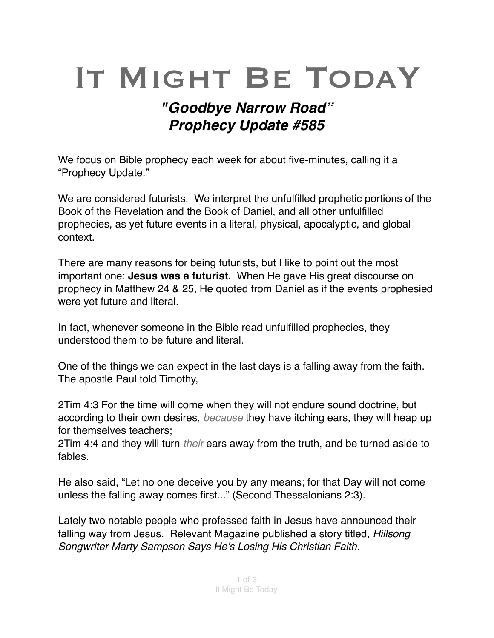# IT MIGHT BE TODAY

# *"Goodbye Narrow Road" Prophecy Update #585*

We focus on Bible prophecy each week for about five-minutes, calling it a "Prophecy Update."

We are considered futurists. We interpret the unfulfilled prophetic portions of the Book of the Revelation and the Book of Daniel, and all other unfulfilled prophecies, as yet future events in a literal, physical, [apocalyptic,](https://en.m.wikipedia.org/wiki/Apocalypticism) and global context.

There are many reasons for being futurists, but I like to point out the most important one: **Jesus was a futurist.** When He gave His great discourse on prophecy in Matthew 24 & 25, He quoted from Daniel as if the events prophesied were yet future and literal.

In fact, whenever someone in the Bible read unfulfilled prophecies, they understood them to be future and literal.

One of the things we can expect in the last days is a falling away from the faith. The apostle Paul told Timothy,

2Tim 4:3 For the time will come when they will not endure sound doctrine, but according to their own desires, *because* they have itching ears, they will heap up for themselves teachers;

2Tim 4:4 and they will turn *their* ears away from the truth, and be turned aside to fables.

He also said, "Let no one deceive you by any means; for that Day will not come unless the falling away comes first..." (Second Thessalonians 2:3).

Lately two notable people who professed faith in Jesus have announced their falling way from Jesus. Relevant Magazine published a story titled, *Hillsong Songwriter Marty Sampson Says He's Losing His Christian Faith.*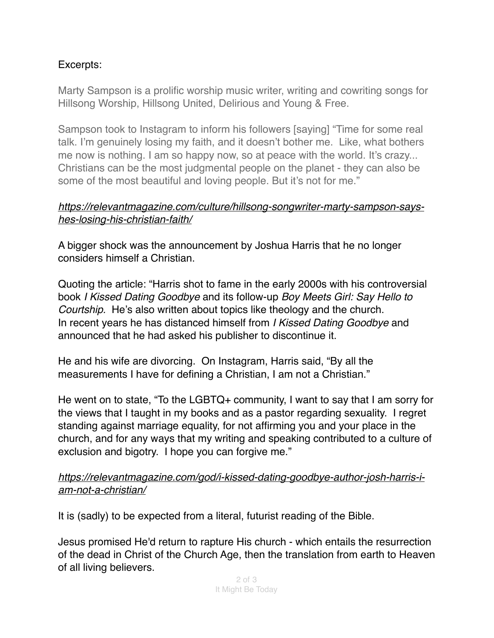## Excerpts:

Marty Sampson is a prolific worship music writer, writing and cowriting songs for Hillsong Worship, Hillsong United, Delirious and Young & Free.

Sampson took to Instagram to inform his followers [saying] "Time for some real talk. I'm genuinely losing my faith, and it doesn't bother me. Like, what bothers me now is nothing. I am so happy now, so at peace with the world. It's crazy... Christians can be the most judgmental people on the planet - they can also be some of the most beautiful and loving people. But it's not for me."

#### *[https://relevantmagazine.com/culture/hillsong-songwriter-marty-sampson-says](https://relevantmagazine.com/culture/hillsong-songwriter-marty-sampson-says-hes-losing-his-christian-faith/)[hes-losing-his-christian-faith/](https://relevantmagazine.com/culture/hillsong-songwriter-marty-sampson-says-hes-losing-his-christian-faith/)*

A bigger shock was the announcement by Joshua Harris that he no longer considers himself a Christian.

Quoting the article: "Harris shot to fame in the early 2000s with his controversial book *I Kissed Dating Goodbye* and its follow-up *Boy Meets Girl: Say Hello to Courtship.* He's also written about topics like theology and the church. In recent years he has distanced himself from *I Kissed Dating Goodbye* and announced that he had asked his publisher to discontinue it.

He and his wife are divorcing. On Instagram, Harris said, "By all the measurements I have for defining a Christian, I am not a Christian."

He went on to state, "To the LGBTQ+ community, I want to say that I am sorry for the views that I taught in my books and as a pastor regarding sexuality. I regret standing against marriage equality, for not affirming you and your place in the church, and for any ways that my writing and speaking contributed to a culture of exclusion and bigotry. I hope you can forgive me."

### *https://relevantmagazine.com/god/i-kissed-dating-goodbye-author-josh-harris-iam-not-a-christian/*

It is (sadly) to be expected from a literal, futurist reading of the Bible.

Jesus promised He'd return to rapture His church - which entails the resurrection of the dead in Christ of the Church Age, then the translation from earth to Heaven of all living believers.